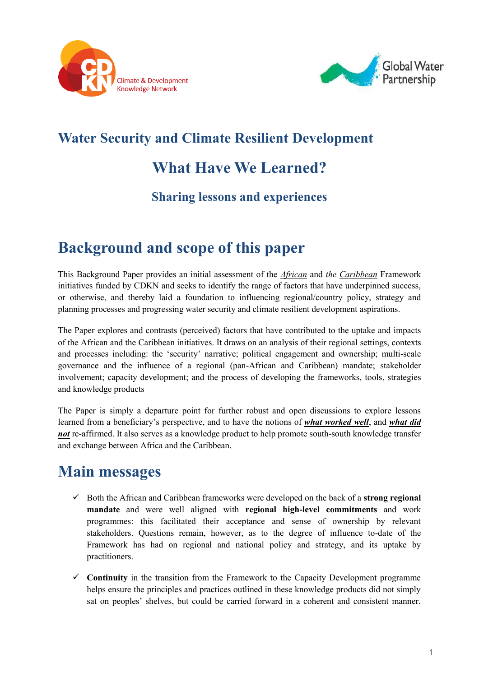



# **Water Security and Climate Resilient Development**

# **What Have We Learned?**

## **Sharing lessons and experiences**

# **Background and scope of this paper**

This Background Paper provides an initial assessment of the *African* and *the Caribbean* Framework initiatives funded by CDKN and seeks to identify the range of factors that have underpinned success, or otherwise, and thereby laid a foundation to influencing regional/country policy, strategy and planning processes and progressing water security and climate resilient development aspirations.

The Paper explores and contrasts (perceived) factors that have contributed to the uptake and impacts of the African and the Caribbean initiatives. It draws on an analysis of their regional settings, contexts and processes including: the 'security' narrative; political engagement and ownership; multi-scale governance and the influence of a regional (pan-African and Caribbean) mandate; stakeholder involvement; capacity development; and the process of developing the frameworks, tools, strategies and knowledge products

The Paper is simply a departure point for further robust and open discussions to explore lessons learned from a beneficiary's perspective, and to have the notions of *what worked well*, and *what did not* re-affirmed. It also serves as a knowledge product to help promote south-south knowledge transfer and exchange between Africa and the Caribbean.

# **Main messages**

- $\checkmark$  Both the African and Caribbean frameworks were developed on the back of a **strong regional mandate** and were well aligned with **regional high-level commitments** and work programmes: this facilitated their acceptance and sense of ownership by relevant stakeholders. Questions remain, however, as to the degree of influence to-date of the Framework has had on regional and national policy and strategy, and its uptake by practitioners.
- **Continuity** in the transition from the Framework to the Capacity Development programme helps ensure the principles and practices outlined in these knowledge products did not simply sat on peoples' shelves, but could be carried forward in a coherent and consistent manner.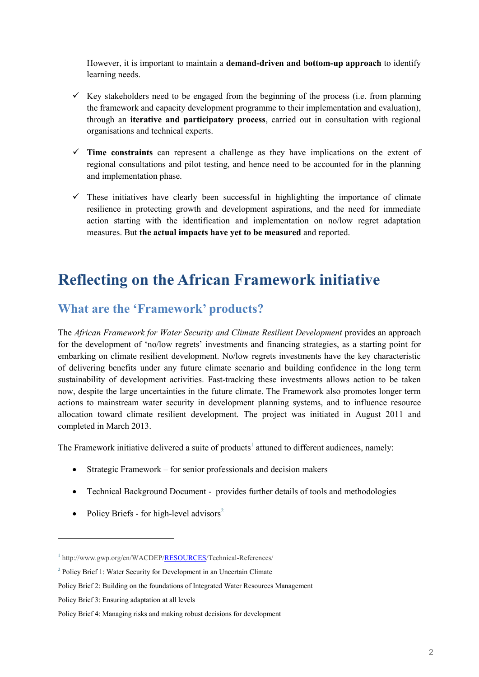However, it is important to maintain a **demand-driven and bottom-up approach** to identify learning needs.

- $\checkmark$  Key stakeholders need to be engaged from the beginning of the process (i.e. from planning the framework and capacity development programme to their implementation and evaluation), through an **iterative and participatory process**, carried out in consultation with regional organisations and technical experts.
- **Time constraints** can represent a challenge as they have implications on the extent of regional consultations and pilot testing, and hence need to be accounted for in the planning and implementation phase.
- $\checkmark$  These initiatives have clearly been successful in highlighting the importance of climate resilience in protecting growth and development aspirations, and the need for immediate action starting with the identification and implementation on no/low regret adaptation measures. But **the actual impacts have yet to be measured** and reported.

# **Reflecting on the African Framework initiative**

### **What are the 'Framework' products?**

The *African Framework for Water Security and Climate Resilient Development* provides an approach for the development of 'no/low regrets' investments and financing strategies, as a starting point for embarking on climate resilient development. No/low regrets investments have the key characteristic of delivering benefits under any future climate scenario and building confidence in the long term sustainability of development activities. Fast-tracking these investments allows action to be taken now, despite the large uncertainties in the future climate. The Framework also promotes longer term actions to mainstream water security in development planning systems, and to influence resource allocation toward climate resilient development. The project was initiated in August 2011 and completed in March 2013.

The Framework initiative delivered a suite of products<sup>1</sup> attuned to different audiences, namely:

- Strategic Framework for senior professionals and decision makers
- Technical Background Document provides further details of tools and methodologies
- Policy Briefs for high-level advisors<sup>2</sup>

1

<sup>&</sup>lt;sup>1</sup> http://www.gwp.org/en/WACDEP/**RESOURCES/**Technical-References/

<sup>&</sup>lt;sup>2</sup> Policy Brief 1: Water Security for Development in an Uncertain Climate

Policy Brief 2: Building on the foundations of Integrated Water Resources Management

Policy Brief 3: Ensuring adaptation at all levels

Policy Brief 4: Managing risks and making robust decisions for development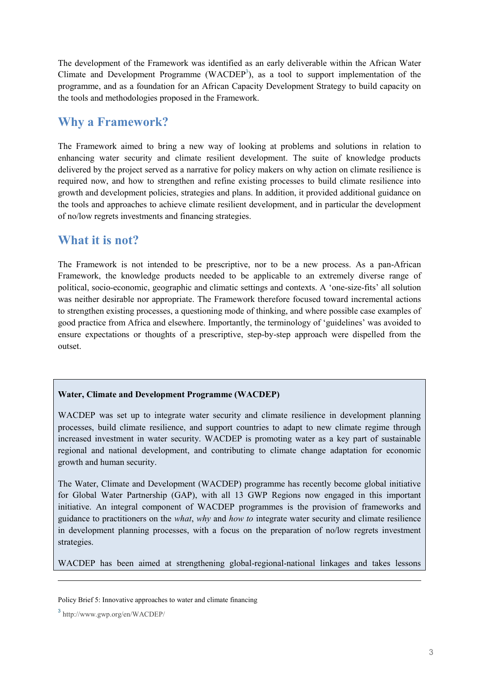The development of the Framework was identified as an early deliverable within the African Water Climate and Development Programme (WACDEP<sup>3</sup>), as a tool to support implementation of the programme, and as a foundation for an African Capacity Development Strategy to build capacity on the tools and methodologies proposed in the Framework.

### **Why a Framework?**

The Framework aimed to bring a new way of looking at problems and solutions in relation to enhancing water security and climate resilient development. The suite of knowledge products delivered by the project served as a narrative for policy makers on why action on climate resilience is required now, and how to strengthen and refine existing processes to build climate resilience into growth and development policies, strategies and plans. In addition, it provided additional guidance on the tools and approaches to achieve climate resilient development, and in particular the development of no/low regrets investments and financing strategies.

### **What it is not?**

The Framework is not intended to be prescriptive, nor to be a new process. As a pan-African Framework, the knowledge products needed to be applicable to an extremely diverse range of political, socio-economic, geographic and climatic settings and contexts. A 'one-size-fits' all solution was neither desirable nor appropriate. The Framework therefore focused toward incremental actions to strengthen existing processes, a questioning mode of thinking, and where possible case examples of good practice from Africa and elsewhere. Importantly, the terminology of 'guidelines' was avoided to ensure expectations or thoughts of a prescriptive, step-by-step approach were dispelled from the outset.

#### **Water, Climate and Development Programme (WACDEP)**

WACDEP was set up to integrate water security and climate resilience in development planning processes, build climate resilience, and support countries to adapt to new climate regime through increased investment in water security. WACDEP is promoting water as a key part of sustainable regional and national development, and contributing to climate change adaptation for economic growth and human security.

The Water, Climate and Development (WACDEP) programme has recently become global initiative for Global Water Partnership (GAP), with all 13 GWP Regions now engaged in this important initiative. An integral component of WACDEP programmes is the provision of frameworks and guidance to practitioners on the *what*, *why* and *how to* integrate water security and climate resilience in development planning processes, with a focus on the preparation of no/low regrets investment strategies.

WACDEP has been aimed at strengthening global-regional-national linkages and takes lessons

Policy Brief 5: Innovative approaches to water and climate financing

3 http://www.gwp.org/en/WACDEP/

1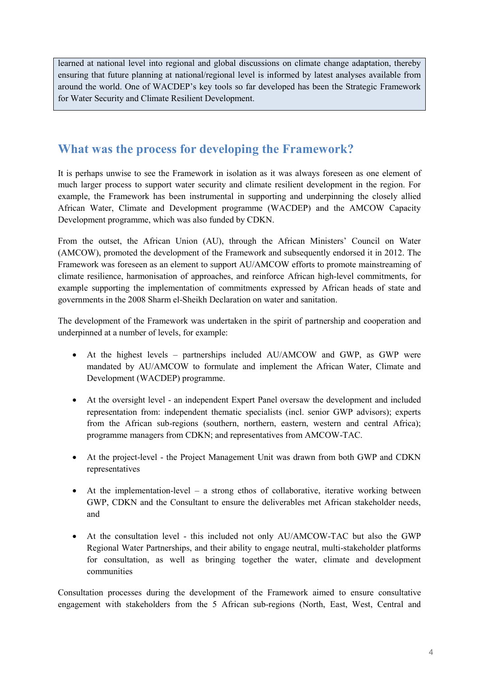learned at national level into regional and global discussions on climate change adaptation, thereby ensuring that future planning at national/regional level is informed by latest analyses available from around the world. One of WACDEP's key tools so far developed has been the Strategic Framework for Water Security and Climate Resilient Development.

### **What was the process for developing the Framework?**

It is perhaps unwise to see the Framework in isolation as it was always foreseen as one element of much larger process to support water security and climate resilient development in the region. For example, the Framework has been instrumental in supporting and underpinning the closely allied African Water, Climate and Development programme (WACDEP) and the AMCOW Capacity Development programme, which was also funded by CDKN.

From the outset, the African Union (AU), through the African Ministers' Council on Water (AMCOW), promoted the development of the Framework and subsequently endorsed it in 2012. The Framework was foreseen as an element to support AU/AMCOW efforts to promote mainstreaming of climate resilience, harmonisation of approaches, and reinforce African high-level commitments, for example supporting the implementation of commitments expressed by African heads of state and governments in the 2008 Sharm el-Sheikh Declaration on water and sanitation.

The development of the Framework was undertaken in the spirit of partnership and cooperation and underpinned at a number of levels, for example:

- At the highest levels partnerships included AU/AMCOW and GWP, as GWP were mandated by AU/AMCOW to formulate and implement the African Water, Climate and Development (WACDEP) programme.
- At the oversight level an independent Expert Panel oversaw the development and included representation from: independent thematic specialists (incl. senior GWP advisors); experts from the African sub-regions (southern, northern, eastern, western and central Africa); programme managers from CDKN; and representatives from AMCOW-TAC.
- At the project-level the Project Management Unit was drawn from both GWP and CDKN representatives
- At the implementation-level a strong ethos of collaborative, iterative working between GWP, CDKN and the Consultant to ensure the deliverables met African stakeholder needs, and
- At the consultation level this included not only AU/AMCOW-TAC but also the GWP Regional Water Partnerships, and their ability to engage neutral, multi-stakeholder platforms for consultation, as well as bringing together the water, climate and development communities

Consultation processes during the development of the Framework aimed to ensure consultative engagement with stakeholders from the 5 African sub-regions (North, East, West, Central and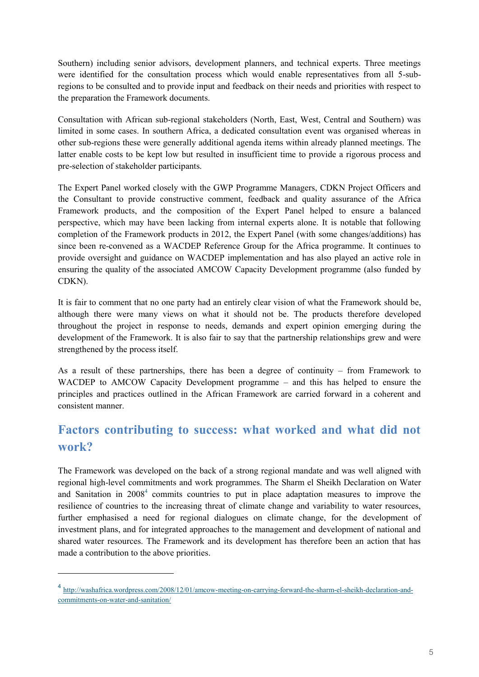Southern) including senior advisors, development planners, and technical experts. Three meetings were identified for the consultation process which would enable representatives from all 5-subregions to be consulted and to provide input and feedback on their needs and priorities with respect to the preparation the Framework documents.

Consultation with African sub-regional stakeholders (North, East, West, Central and Southern) was limited in some cases. In southern Africa, a dedicated consultation event was organised whereas in other sub-regions these were generally additional agenda items within already planned meetings. The latter enable costs to be kept low but resulted in insufficient time to provide a rigorous process and pre-selection of stakeholder participants.

The Expert Panel worked closely with the GWP Programme Managers, CDKN Project Officers and the Consultant to provide constructive comment, feedback and quality assurance of the Africa Framework products, and the composition of the Expert Panel helped to ensure a balanced perspective, which may have been lacking from internal experts alone. It is notable that following completion of the Framework products in 2012, the Expert Panel (with some changes/additions) has since been re-convened as a WACDEP Reference Group for the Africa programme. It continues to provide oversight and guidance on WACDEP implementation and has also played an active role in ensuring the quality of the associated AMCOW Capacity Development programme (also funded by CDKN).

It is fair to comment that no one party had an entirely clear vision of what the Framework should be, although there were many views on what it should not be. The products therefore developed throughout the project in response to needs, demands and expert opinion emerging during the development of the Framework. It is also fair to say that the partnership relationships grew and were strengthened by the process itself.

As a result of these partnerships, there has been a degree of continuity – from Framework to WACDEP to AMCOW Capacity Development programme – and this has helped to ensure the principles and practices outlined in the African Framework are carried forward in a coherent and consistent manner.

## **Factors contributing to success: what worked and what did not work?**

The Framework was developed on the back of a strong regional mandate and was well aligned with regional high-level commitments and work programmes. The Sharm el Sheikh Declaration on Water and Sanitation in 2008<sup>4</sup> commits countries to put in place adaptation measures to improve the resilience of countries to the increasing threat of climate change and variability to water resources, further emphasised a need for regional dialogues on climate change, for the development of investment plans, and for integrated approaches to the management and development of national and shared water resources. The Framework and its development has therefore been an action that has made a contribution to the above priorities.

1

<sup>&</sup>lt;sup>4</sup> [http://washafrica.wordpress.com/2008/12/01/amcow-meeting-on-carrying-forward-the-sharm-el-sheikh-declaration-and](http://washafrica.wordpress.com/2008/12/01/amcow-meeting-on-carrying-forward-the-sharm-el-sheikh-declaration-and-commitments-on-water-and-sanitation/)[commitments-on-water-and-sanitation/](http://washafrica.wordpress.com/2008/12/01/amcow-meeting-on-carrying-forward-the-sharm-el-sheikh-declaration-and-commitments-on-water-and-sanitation/)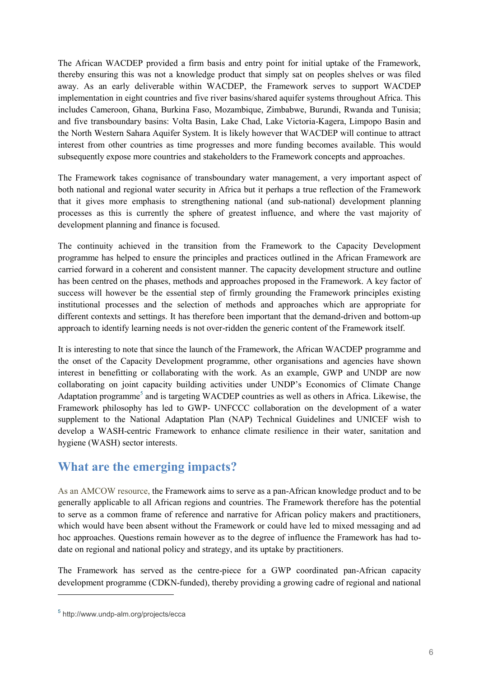The African WACDEP provided a firm basis and entry point for initial uptake of the Framework, thereby ensuring this was not a knowledge product that simply sat on peoples shelves or was filed away. As an early deliverable within WACDEP, the Framework serves to support WACDEP implementation in eight countries and five river basins/shared aquifer systems throughout Africa. This includes Cameroon, Ghana, Burkina Faso, Mozambique, Zimbabwe, Burundi, Rwanda and Tunisia; and five transboundary basins: Volta Basin, Lake Chad, Lake Victoria-Kagera, Limpopo Basin and the North Western Sahara Aquifer System. It is likely however that WACDEP will continue to attract interest from other countries as time progresses and more funding becomes available. This would subsequently expose more countries and stakeholders to the Framework concepts and approaches.

The Framework takes cognisance of transboundary water management, a very important aspect of both national and regional water security in Africa but it perhaps a true reflection of the Framework that it gives more emphasis to strengthening national (and sub-national) development planning processes as this is currently the sphere of greatest influence, and where the vast majority of development planning and finance is focused.

The continuity achieved in the transition from the Framework to the Capacity Development programme has helped to ensure the principles and practices outlined in the African Framework are carried forward in a coherent and consistent manner. The capacity development structure and outline has been centred on the phases, methods and approaches proposed in the Framework. A key factor of success will however be the essential step of firmly grounding the Framework principles existing institutional processes and the selection of methods and approaches which are appropriate for different contexts and settings. It has therefore been important that the demand-driven and bottom-up approach to identify learning needs is not over-ridden the generic content of the Framework itself.

It is interesting to note that since the launch of the Framework, the African WACDEP programme and the onset of the Capacity Development programme, other organisations and agencies have shown interest in benefitting or collaborating with the work. As an example, GWP and UNDP are now collaborating on joint capacity building activities under UNDP's Economics of Climate Change Adaptation programme<sup>5</sup> and is targeting WACDEP countries as well as others in Africa. Likewise, the Framework philosophy has led to GWP- UNFCCC collaboration on the development of a water supplement to the National Adaptation Plan (NAP) Technical Guidelines and UNICEF wish to develop a WASH-centric Framework to enhance climate resilience in their water, sanitation and hygiene (WASH) sector interests.

### **What are the emerging impacts?**

As an AMCOW resource, the Framework aims to serve as a pan-African knowledge product and to be generally applicable to all African regions and countries. The Framework therefore has the potential to serve as a common frame of reference and narrative for African policy makers and practitioners, which would have been absent without the Framework or could have led to mixed messaging and ad hoc approaches. Questions remain however as to the degree of influence the Framework has had todate on regional and national policy and strategy, and its uptake by practitioners.

The Framework has served as the centre-piece for a GWP coordinated pan-African capacity development programme (CDKN-funded), thereby providing a growing cadre of regional and national

-

<sup>5</sup> http://www.undp-alm.org/projects/ecca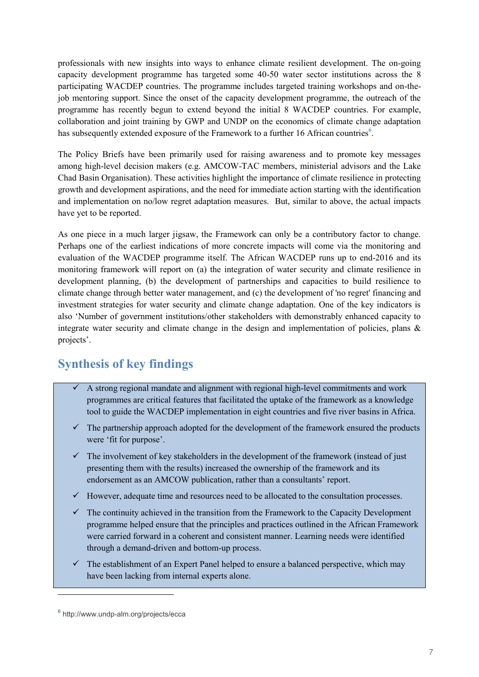professionals with new insights into ways to enhance climate resilient development. The on-going capacity development programme has targeted some 40-50 water sector institutions across the 8 participating WACDEP countries. The programme includes targeted training workshops and on-thejob mentoring support. Since the onset of the capacity development programme, the outreach of the programme has recently begun to extend beyond the initial 8 WACDEP countries. For example, collaboration and joint training by GWP and UNDP on the economics of climate change adaptation has subsequently extended exposure of the Framework to a further 16 African countries $6$ .

The Policy Briefs have been primarily used for raising awareness and to promote key messages among high-level decision makers (e.g. AMCOW-TAC members, ministerial advisors and the Lake Chad Basin Organisation). These activities highlight the importance of climate resilience in protecting growth and development aspirations, and the need for immediate action starting with the identification and implementation on no/low regret adaptation measures. But, similar to above, the actual impacts have yet to be reported.

As one piece in a much larger jigsaw, the Framework can only be a contributory factor to change. Perhaps one of the earliest indications of more concrete impacts will come via the monitoring and evaluation of the WACDEP programme itself. The African WACDEP runs up to end-2016 and its monitoring framework will report on (a) the integration of water security and climate resilience in development planning, (b) the development of partnerships and capacities to build resilience to climate change through better water management, and (c) the development of 'no regret' financing and investment strategies for water security and climate change adaptation. One of the key indicators is also 'Number of government institutions/other stakeholders with demonstrably enhanced capacity to integrate water security and climate change in the design and implementation of policies, plans & projects'.

### **Synthesis of key findings**

- $\checkmark$  A strong regional mandate and alignment with regional high-level commitments and work programmes are critical features that facilitated the uptake of the framework as a knowledge tool to guide the WACDEP implementation in eight countries and five river basins in Africa.
- $\checkmark$  The partnership approach adopted for the development of the framework ensured the products were 'fit for purpose'.
- $\checkmark$  The involvement of key stakeholders in the development of the framework (instead of just presenting them with the results) increased the ownership of the framework and its endorsement as an AMCOW publication, rather than a consultants' report.
- $\checkmark$  However, adequate time and resources need to be allocated to the consultation processes.
- $\checkmark$  The continuity achieved in the transition from the Framework to the Capacity Development programme helped ensure that the principles and practices outlined in the African Framework were carried forward in a coherent and consistent manner. Learning needs were identified through a demand-driven and bottom-up process.
- $\checkmark$  The establishment of an Expert Panel helped to ensure a balanced perspective, which may have been lacking from internal experts alone.

-

<sup>6</sup> http://www.undp-alm.org/projects/ecca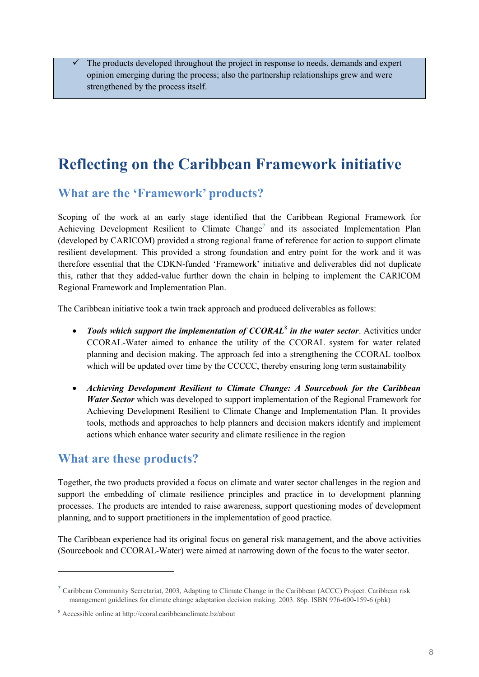$\checkmark$  The products developed throughout the project in response to needs, demands and expert opinion emerging during the process; also the partnership relationships grew and were strengthened by the process itself.

# **Reflecting on the Caribbean Framework initiative**

#### **What are the 'Framework' products?**

Scoping of the work at an early stage identified that the Caribbean Regional Framework for Achieving Development Resilient to Climate Change<sup>7</sup> and its associated Implementation Plan (developed by CARICOM) provided a strong regional frame of reference for action to support climate resilient development. This provided a strong foundation and entry point for the work and it was therefore essential that the CDKN-funded 'Framework' initiative and deliverables did not duplicate this, rather that they added-value further down the chain in helping to implement the CARICOM Regional Framework and Implementation Plan.

The Caribbean initiative took a twin track approach and produced deliverables as follows:

- *Tools which support the implementation of CCORAL*<sup>8</sup> *in the water sector*. Activities under CCORAL-Water aimed to enhance the utility of the CCORAL system for water related planning and decision making. The approach fed into a strengthening the CCORAL toolbox which will be updated over time by the CCCCC, thereby ensuring long term sustainability
- *Achieving Development Resilient to Climate Change: A Sourcebook for the Caribbean Water Sector* which was developed to support implementation of the Regional Framework for Achieving Development Resilient to Climate Change and Implementation Plan. It provides tools, methods and approaches to help planners and decision makers identify and implement actions which enhance water security and climate resilience in the region

#### **What are these products?**

1

Together, the two products provided a focus on climate and water sector challenges in the region and support the embedding of climate resilience principles and practice in to development planning processes. The products are intended to raise awareness, support questioning modes of development planning, and to support practitioners in the implementation of good practice.

The Caribbean experience had its original focus on general risk management, and the above activities (Sourcebook and CCORAL-Water) were aimed at narrowing down of the focus to the water sector.

<sup>&</sup>lt;sup>7</sup> Caribbean Community Secretariat, 2003, Adapting to Climate Change in the Caribbean (ACCC) Project. Caribbean risk management guidelines for climate change adaptation decision making. 2003. 86p. ISBN 976-600-159-6 (pbk)

<sup>8</sup> Accessible online at http://ccoral.caribbeanclimate.bz/about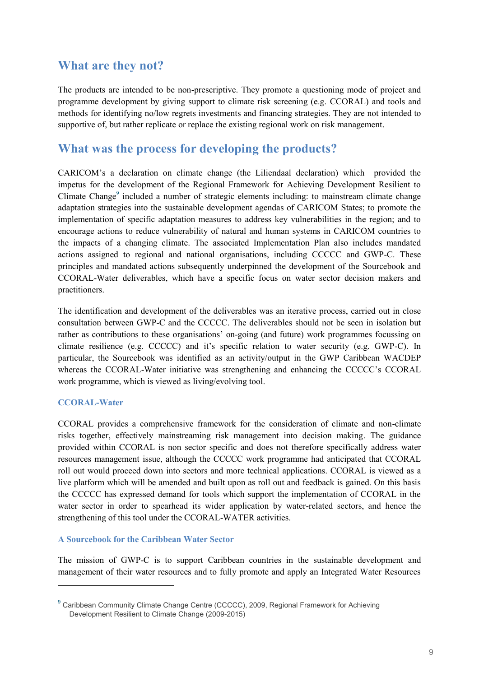#### **What are they not?**

The products are intended to be non-prescriptive. They promote a questioning mode of project and programme development by giving support to climate risk screening (e.g. CCORAL) and tools and methods for identifying no/low regrets investments and financing strategies. They are not intended to supportive of, but rather replicate or replace the existing regional work on risk management.

### **What was the process for developing the products?**

CARICOM's a declaration on climate change (the Liliendaal declaration) which provided the impetus for the development of the Regional Framework for Achieving Development Resilient to Climate Change<sup>9</sup> included a number of strategic elements including: to mainstream climate change adaptation strategies into the sustainable development agendas of CARICOM States; to promote the implementation of specific adaptation measures to address key vulnerabilities in the region; and to encourage actions to reduce vulnerability of natural and human systems in CARICOM countries to the impacts of a changing climate. The associated Implementation Plan also includes mandated actions assigned to regional and national organisations, including CCCCC and GWP-C. These principles and mandated actions subsequently underpinned the development of the Sourcebook and CCORAL-Water deliverables, which have a specific focus on water sector decision makers and practitioners.

The identification and development of the deliverables was an iterative process, carried out in close consultation between GWP-C and the CCCCC. The deliverables should not be seen in isolation but rather as contributions to these organisations' on-going (and future) work programmes focussing on climate resilience (e.g. CCCCC) and it's specific relation to water security (e.g. GWP-C). In particular, the Sourcebook was identified as an activity/output in the GWP Caribbean WACDEP whereas the CCORAL-Water initiative was strengthening and enhancing the CCCCC's CCORAL work programme, which is viewed as living/evolving tool.

#### **CCORAL-Water**

1

CCORAL provides a comprehensive framework for the consideration of climate and non-climate risks together, effectively mainstreaming risk management into decision making. The guidance provided within CCORAL is non sector specific and does not therefore specifically address water resources management issue, although the CCCCC work programme had anticipated that CCORAL roll out would proceed down into sectors and more technical applications. CCORAL is viewed as a live platform which will be amended and built upon as roll out and feedback is gained. On this basis the CCCCC has expressed demand for tools which support the implementation of CCORAL in the water sector in order to spearhead its wider application by water-related sectors, and hence the strengthening of this tool under the CCORAL-WATER activities.

#### **A Sourcebook for the Caribbean Water Sector**

The mission of GWP-C is to support Caribbean countries in the sustainable development and management of their water resources and to fully promote and apply an Integrated Water Resources

<sup>&</sup>lt;sup>9</sup> Caribbean Community Climate Change Centre (CCCCC), 2009, Regional Framework for Achieving Development Resilient to Climate Change (2009-2015)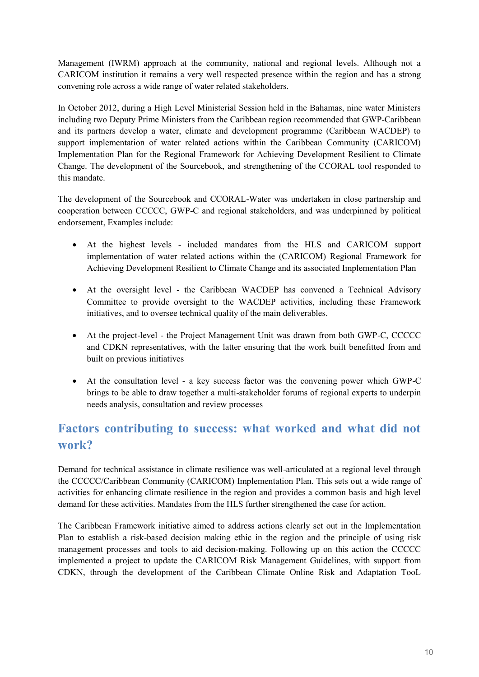Management (IWRM) approach at the community, national and regional levels. Although not a CARICOM institution it remains a very well respected presence within the region and has a strong convening role across a wide range of water related stakeholders.

In October 2012, during a High Level Ministerial Session held in the Bahamas, nine water Ministers including two Deputy Prime Ministers from the Caribbean region recommended that GWP-Caribbean and its partners develop a water, climate and development programme (Caribbean WACDEP) to support implementation of water related actions within the Caribbean Community (CARICOM) Implementation Plan for the Regional Framework for Achieving Development Resilient to Climate Change. The development of the Sourcebook, and strengthening of the CCORAL tool responded to this mandate.

The development of the Sourcebook and CCORAL-Water was undertaken in close partnership and cooperation between CCCCC, GWP-C and regional stakeholders, and was underpinned by political endorsement, Examples include:

- At the highest levels included mandates from the HLS and CARICOM support implementation of water related actions within the (CARICOM) Regional Framework for Achieving Development Resilient to Climate Change and its associated Implementation Plan
- At the oversight level the Caribbean WACDEP has convened a Technical Advisory Committee to provide oversight to the WACDEP activities, including these Framework initiatives, and to oversee technical quality of the main deliverables.
- At the project-level the Project Management Unit was drawn from both GWP-C, CCCCC and CDKN representatives, with the latter ensuring that the work built benefitted from and built on previous initiatives
- At the consultation level a key success factor was the convening power which GWP-C brings to be able to draw together a multi-stakeholder forums of regional experts to underpin needs analysis, consultation and review processes

## **Factors contributing to success: what worked and what did not work?**

Demand for technical assistance in climate resilience was well-articulated at a regional level through the CCCCC/Caribbean Community (CARICOM) Implementation Plan. This sets out a wide range of activities for enhancing climate resilience in the region and provides a common basis and high level demand for these activities. Mandates from the HLS further strengthened the case for action.

The Caribbean Framework initiative aimed to address actions clearly set out in the Implementation Plan to establish a risk-based decision making ethic in the region and the principle of using risk management processes and tools to aid decision-making. Following up on this action the CCCCC implemented a project to update the CARICOM Risk Management Guidelines, with support from CDKN, through the development of the Caribbean Climate Online Risk and Adaptation TooL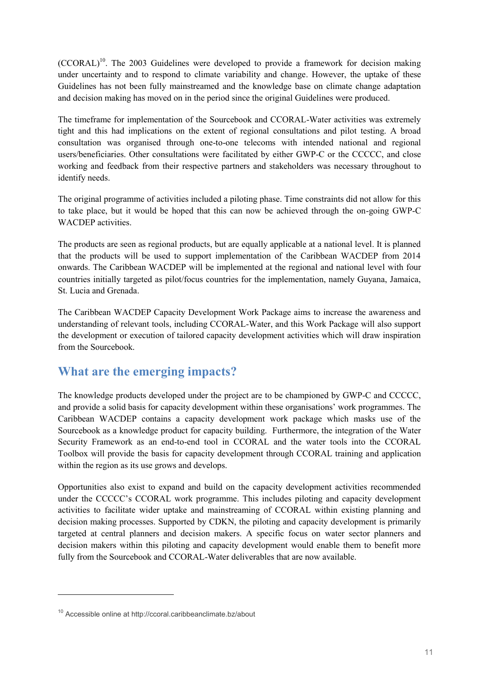$(CCORAL)^{10}$ . The 2003 Guidelines were developed to provide a framework for decision making under uncertainty and to respond to climate variability and change. However, the uptake of these Guidelines has not been fully mainstreamed and the knowledge base on climate change adaptation and decision making has moved on in the period since the original Guidelines were produced.

The timeframe for implementation of the Sourcebook and CCORAL-Water activities was extremely tight and this had implications on the extent of regional consultations and pilot testing. A broad consultation was organised through one-to-one telecoms with intended national and regional users/beneficiaries. Other consultations were facilitated by either GWP-C or the CCCCC, and close working and feedback from their respective partners and stakeholders was necessary throughout to identify needs.

The original programme of activities included a piloting phase. Time constraints did not allow for this to take place, but it would be hoped that this can now be achieved through the on-going GWP-C WACDEP activities.

The products are seen as regional products, but are equally applicable at a national level. It is planned that the products will be used to support implementation of the Caribbean WACDEP from 2014 onwards. The Caribbean WACDEP will be implemented at the regional and national level with four countries initially targeted as pilot/focus countries for the implementation, namely Guyana, Jamaica, St. Lucia and Grenada.

The Caribbean WACDEP Capacity Development Work Package aims to increase the awareness and understanding of relevant tools, including CCORAL-Water, and this Work Package will also support the development or execution of tailored capacity development activities which will draw inspiration from the Sourcebook.

### **What are the emerging impacts?**

The knowledge products developed under the project are to be championed by GWP-C and CCCCC, and provide a solid basis for capacity development within these organisations' work programmes. The Caribbean WACDEP contains a capacity development work package which masks use of the Sourcebook as a knowledge product for capacity building. Furthermore, the integration of the Water Security Framework as an end-to-end tool in CCORAL and the water tools into the CCORAL Toolbox will provide the basis for capacity development through CCORAL training and application within the region as its use grows and develops.

Opportunities also exist to expand and build on the capacity development activities recommended under the CCCCC's CCORAL work programme. This includes piloting and capacity development activities to facilitate wider uptake and mainstreaming of CCORAL within existing planning and decision making processes. Supported by CDKN, the piloting and capacity development is primarily targeted at central planners and decision makers. A specific focus on water sector planners and decision makers within this piloting and capacity development would enable them to benefit more fully from the Sourcebook and CCORAL-Water deliverables that are now available.

-

<sup>10</sup> Accessible online at http://ccoral.caribbeanclimate.bz/about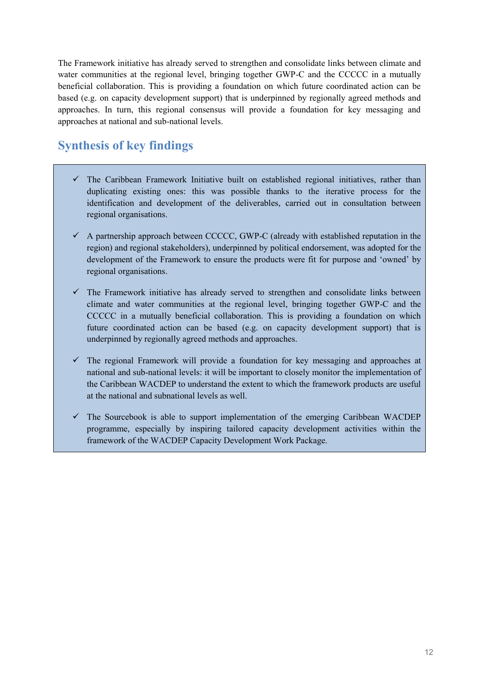The Framework initiative has already served to strengthen and consolidate links between climate and water communities at the regional level, bringing together GWP-C and the CCCCC in a mutually beneficial collaboration. This is providing a foundation on which future coordinated action can be based (e.g. on capacity development support) that is underpinned by regionally agreed methods and approaches. In turn, this regional consensus will provide a foundation for key messaging and approaches at national and sub-national levels.

## **Synthesis of key findings**

- $\checkmark$  The Caribbean Framework Initiative built on established regional initiatives, rather than duplicating existing ones: this was possible thanks to the iterative process for the identification and development of the deliverables, carried out in consultation between regional organisations.
- $\checkmark$  A partnership approach between CCCCC, GWP-C (already with established reputation in the region) and regional stakeholders), underpinned by political endorsement, was adopted for the development of the Framework to ensure the products were fit for purpose and 'owned' by regional organisations.
- $\checkmark$  The Framework initiative has already served to strengthen and consolidate links between climate and water communities at the regional level, bringing together GWP-C and the CCCCC in a mutually beneficial collaboration. This is providing a foundation on which future coordinated action can be based (e.g. on capacity development support) that is underpinned by regionally agreed methods and approaches.
- $\checkmark$  The regional Framework will provide a foundation for key messaging and approaches at national and sub-national levels: it will be important to closely monitor the implementation of the Caribbean WACDEP to understand the extent to which the framework products are useful at the national and subnational levels as well.
- $\checkmark$  The Sourcebook is able to support implementation of the emerging Caribbean WACDEP programme, especially by inspiring tailored capacity development activities within the framework of the WACDEP Capacity Development Work Package.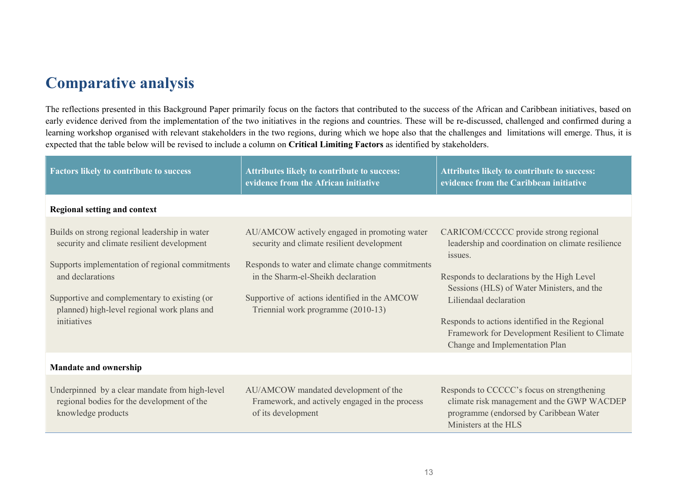## **Comparative analysis**

The reflections presented in this Background Paper primarily focus on the factors that contributed to the success of the African and Caribbean initiatives, based on early evidence derived from the implementation of the two initiatives in the regions and countries. These will be re-discussed, challenged and confirmed during a learning workshop organised with relevant stakeholders in the two regions, during which we hope also that the challenges and limitations will emerge. Thus, it is expected that the table below will be revised to include a column on **Critical Limiting Factors** as identified by stakeholders.

| <b>Factors likely to contribute to success</b>                                                                                                                                                                                                                                   | Attributes likely to contribute to success:<br>evidence from the African initiative                                                                                                                                                                                         | Attributes likely to contribute to success:<br>evidence from the Caribbean initiative                                                                                                                                                                                                                                                                             |
|----------------------------------------------------------------------------------------------------------------------------------------------------------------------------------------------------------------------------------------------------------------------------------|-----------------------------------------------------------------------------------------------------------------------------------------------------------------------------------------------------------------------------------------------------------------------------|-------------------------------------------------------------------------------------------------------------------------------------------------------------------------------------------------------------------------------------------------------------------------------------------------------------------------------------------------------------------|
| <b>Regional setting and context</b>                                                                                                                                                                                                                                              |                                                                                                                                                                                                                                                                             |                                                                                                                                                                                                                                                                                                                                                                   |
| Builds on strong regional leadership in water<br>security and climate resilient development<br>Supports implementation of regional commitments<br>and declarations<br>Supportive and complementary to existing (or<br>planned) high-level regional work plans and<br>initiatives | AU/AMCOW actively engaged in promoting water<br>security and climate resilient development<br>Responds to water and climate change commitments<br>in the Sharm-el-Sheikh declaration<br>Supportive of actions identified in the AMCOW<br>Triennial work programme (2010-13) | CARICOM/CCCCC provide strong regional<br>leadership and coordination on climate resilience<br>issues.<br>Responds to declarations by the High Level<br>Sessions (HLS) of Water Ministers, and the<br>Liliendaal declaration<br>Responds to actions identified in the Regional<br>Framework for Development Resilient to Climate<br>Change and Implementation Plan |
| <b>Mandate and ownership</b>                                                                                                                                                                                                                                                     |                                                                                                                                                                                                                                                                             |                                                                                                                                                                                                                                                                                                                                                                   |
| Underpinned by a clear mandate from high-level<br>regional bodies for the development of the<br>knowledge products                                                                                                                                                               | AU/AMCOW mandated development of the<br>Framework, and actively engaged in the process<br>of its development                                                                                                                                                                | Responds to CCCCC's focus on strengthening<br>climate risk management and the GWP WACDEP<br>programme (endorsed by Caribbean Water<br>Ministers at the HLS                                                                                                                                                                                                        |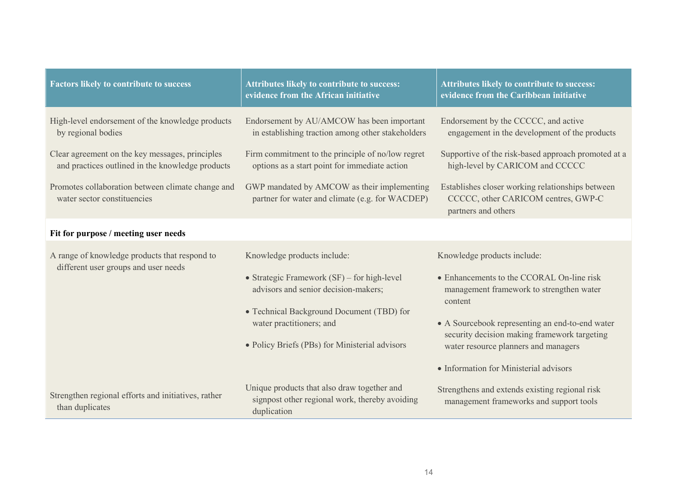| <b>Factors likely to contribute to success</b>                                                      | Attributes likely to contribute to success:<br>evidence from the African initiative                                                                                                                                                           | Attributes likely to contribute to success:<br>evidence from the Caribbean initiative                                                                                                                                                                                                                                |
|-----------------------------------------------------------------------------------------------------|-----------------------------------------------------------------------------------------------------------------------------------------------------------------------------------------------------------------------------------------------|----------------------------------------------------------------------------------------------------------------------------------------------------------------------------------------------------------------------------------------------------------------------------------------------------------------------|
| High-level endorsement of the knowledge products<br>by regional bodies                              | Endorsement by AU/AMCOW has been important<br>in establishing traction among other stakeholders                                                                                                                                               | Endorsement by the CCCCC, and active<br>engagement in the development of the products                                                                                                                                                                                                                                |
| Clear agreement on the key messages, principles<br>and practices outlined in the knowledge products | Firm commitment to the principle of no/low regret<br>options as a start point for immediate action                                                                                                                                            | Supportive of the risk-based approach promoted at a<br>high-level by CARICOM and CCCCC                                                                                                                                                                                                                               |
| Promotes collaboration between climate change and<br>water sector constituencies                    | GWP mandated by AMCOW as their implementing<br>partner for water and climate (e.g. for WACDEP)                                                                                                                                                | Establishes closer working relationships between<br>CCCCC, other CARICOM centres, GWP-C<br>partners and others                                                                                                                                                                                                       |
| Fit for purpose / meeting user needs                                                                |                                                                                                                                                                                                                                               |                                                                                                                                                                                                                                                                                                                      |
| A range of knowledge products that respond to<br>different user groups and user needs               | Knowledge products include:<br>• Strategic Framework (SF) – for high-level<br>advisors and senior decision-makers;<br>• Technical Background Document (TBD) for<br>water practitioners; and<br>• Policy Briefs (PBs) for Ministerial advisors | Knowledge products include:<br>• Enhancements to the CCORAL On-line risk<br>management framework to strengthen water<br>content<br>• A Sourcebook representing an end-to-end water<br>security decision making framework targeting<br>water resource planners and managers<br>• Information for Ministerial advisors |
| Strengthen regional efforts and initiatives, rather<br>than duplicates                              | Unique products that also draw together and<br>signpost other regional work, thereby avoiding<br>duplication                                                                                                                                  | Strengthens and extends existing regional risk<br>management frameworks and support tools                                                                                                                                                                                                                            |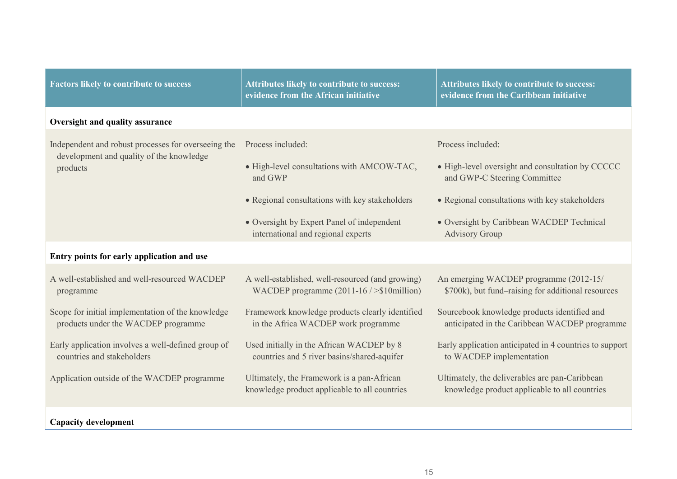| <b>Factors likely to contribute to success</b>                                                              | <b>Attributes likely to contribute to success:</b><br>evidence from the African initiative       | <b>Attributes likely to contribute to success:</b><br>evidence from the Caribbean initiative    |
|-------------------------------------------------------------------------------------------------------------|--------------------------------------------------------------------------------------------------|-------------------------------------------------------------------------------------------------|
| Oversight and quality assurance                                                                             |                                                                                                  |                                                                                                 |
| Independent and robust processes for overseeing the<br>development and quality of the knowledge<br>products | Process included:                                                                                | Process included:                                                                               |
|                                                                                                             | · High-level consultations with AMCOW-TAC,<br>and GWP                                            | • High-level oversight and consultation by CCCCC<br>and GWP-C Steering Committee                |
|                                                                                                             | • Regional consultations with key stakeholders                                                   | • Regional consultations with key stakeholders                                                  |
|                                                                                                             | • Oversight by Expert Panel of independent<br>international and regional experts                 | • Oversight by Caribbean WACDEP Technical<br><b>Advisory Group</b>                              |
| Entry points for early application and use                                                                  |                                                                                                  |                                                                                                 |
| A well-established and well-resourced WACDEP<br>programme                                                   | A well-established, well-resourced (and growing)<br>WACDEP programme $(2011-16 / > $10$ million) | An emerging WACDEP programme (2012-15/<br>\$700k), but fund-raising for additional resources    |
| Scope for initial implementation of the knowledge<br>products under the WACDEP programme                    | Framework knowledge products clearly identified<br>in the Africa WACDEP work programme           | Sourcebook knowledge products identified and<br>anticipated in the Caribbean WACDEP programme   |
| Early application involves a well-defined group of<br>countries and stakeholders                            | Used initially in the African WACDEP by 8<br>countries and 5 river basins/shared-aquifer         | Early application anticipated in 4 countries to support<br>to WACDEP implementation             |
| Application outside of the WACDEP programme                                                                 | Ultimately, the Framework is a pan-African<br>knowledge product applicable to all countries      | Ultimately, the deliverables are pan-Caribbean<br>knowledge product applicable to all countries |
| .                                                                                                           |                                                                                                  |                                                                                                 |

#### **Capacity development**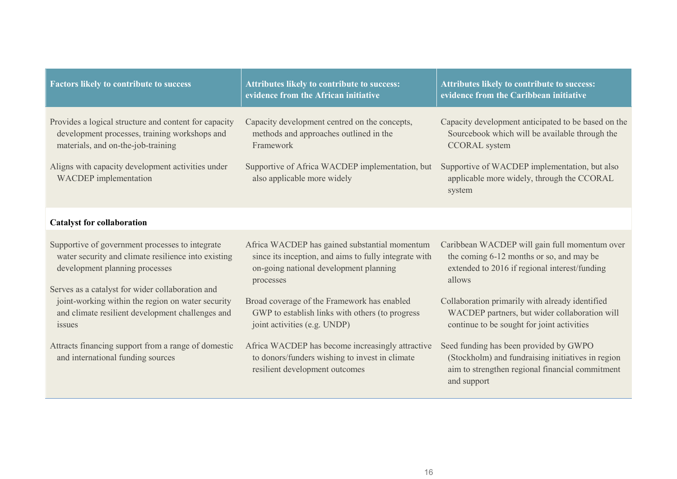| <b>Factors likely to contribute to success</b>                                                                                                                                               | <b>Attributes likely to contribute to success:</b><br>evidence from the African initiative                                                                    | Attributes likely to contribute to success:<br>evidence from the Caribbean initiative                                                                         |
|----------------------------------------------------------------------------------------------------------------------------------------------------------------------------------------------|---------------------------------------------------------------------------------------------------------------------------------------------------------------|---------------------------------------------------------------------------------------------------------------------------------------------------------------|
| Provides a logical structure and content for capacity<br>development processes, training workshops and<br>materials, and on-the-job-training                                                 | Capacity development centred on the concepts,<br>methods and approaches outlined in the<br>Framework                                                          | Capacity development anticipated to be based on the<br>Sourcebook which will be available through the<br><b>CCORAL</b> system                                 |
| Aligns with capacity development activities under<br><b>WACDEP</b> implementation                                                                                                            | Supportive of Africa WACDEP implementation, but<br>also applicable more widely                                                                                | Supportive of WACDEP implementation, but also<br>applicable more widely, through the CCORAL<br>system                                                         |
| <b>Catalyst for collaboration</b>                                                                                                                                                            |                                                                                                                                                               |                                                                                                                                                               |
| Supportive of government processes to integrate<br>water security and climate resilience into existing<br>development planning processes<br>Serves as a catalyst for wider collaboration and | Africa WACDEP has gained substantial momentum<br>since its inception, and aims to fully integrate with<br>on-going national development planning<br>processes | Caribbean WACDEP will gain full momentum over<br>the coming 6-12 months or so, and may be<br>extended to 2016 if regional interest/funding<br>allows          |
| joint-working within the region on water security<br>and climate resilient development challenges and<br>issues                                                                              | Broad coverage of the Framework has enabled<br>GWP to establish links with others (to progress<br>joint activities (e.g. UNDP)                                | Collaboration primarily with already identified<br>WACDEP partners, but wider collaboration will<br>continue to be sought for joint activities                |
| Attracts financing support from a range of domestic<br>and international funding sources                                                                                                     | Africa WACDEP has become increasingly attractive<br>to donors/funders wishing to invest in climate<br>resilient development outcomes                          | Seed funding has been provided by GWPO<br>(Stockholm) and fundraising initiatives in region<br>aim to strengthen regional financial commitment<br>and support |
|                                                                                                                                                                                              |                                                                                                                                                               |                                                                                                                                                               |